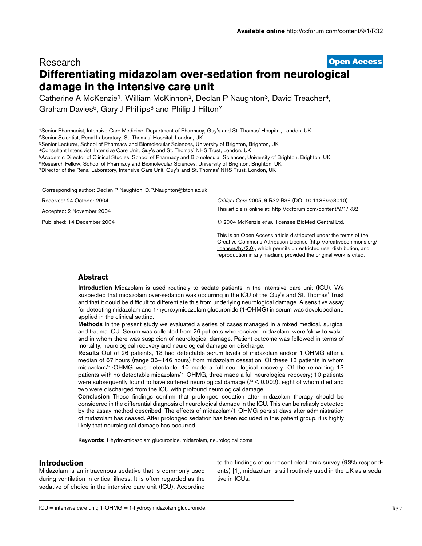# **[Open Access](http://www.biomedcentral.com/info/about/charter/) Research Differentiating midazolam over-sedation from neurological damage in the intensive care unit**

Catherine A McKenzie<sup>1</sup>, William McKinnon<sup>2</sup>, Declan P Naughton<sup>3</sup>, David Treacher<sup>4</sup>, Graham Davies<sup>5</sup>, Gary J Phillips<sup>6</sup> and Philip J Hilton<sup>7</sup>

1Senior Pharmacist, Intensive Care Medicine, Department of Pharmacy, Guy's and St. Thomas' Hospital, London, UK 2Senior Scientist, Renal Laboratory, St. Thomas' Hospital, London, UK

<sup>3</sup>Senior Lecturer, School of Pharmacy and Biomolecular Sciences, University of Brighton, Brighton, UK

4Consultant Intensivist, Intensive Care Unit, Guy's and St. Thomas' NHS Trust, London, UK

5Academic Director of Clinical Studies, School of Pharmacy and Biomolecular Sciences, University of Brighton, Brighton, UK

<sup>6</sup>Research Fellow, School of Pharmacy and Biomolecular Sciences, University of Brighton, Brighton, UK

7Director of the Renal Laboratory, Intensive Care Unit, Guy's and St. Thomas' NHS Trust, London, UK

Corresponding author: Declan P Naughton, D.P.Naughton@bton.ac.uk

Received: 24 October 2004 Accepted: 2 November 2004 Published: 14 December 2004 *Critical Care* 2005, **9**:R32-R36 (DOI 10.1186/cc3010) [This article is online at: http://ccforum.com/content/9/1/R32](http://ccforum.com/content/9/1/R32) © 2004 McKenzie *et al*., licensee BioMed Central Ltd. This is an Open Access article distributed under the terms of the Creative Commons Attribution License [\(http://creativecommons.org/](http://creativecommons.org/licenses/by/2.0)

### **Abstract**

**Introduction** Midazolam is used routinely to sedate patients in the intensive care unit (ICU). We suspected that midazolam over-sedation was occurring in the ICU of the Guy's and St. Thomas' Trust and that it could be difficult to differentiate this from underlying neurological damage. A sensitive assay for detecting midazolam and 1-hydroxymidazolam glucuronide (1-OHMG) in serum was developed and applied in the clinical setting.

**Methods** In the present study we evaluated a series of cases managed in a mixed medical, surgical and trauma ICU. Serum was collected from 26 patients who received midazolam, were 'slow to wake' and in whom there was suspicion of neurological damage. Patient outcome was followed in terms of mortality, neurological recovery and neurological damage on discharge.

**Results** Out of 26 patients, 13 had detectable serum levels of midazolam and/or 1-OHMG after a median of 67 hours (range 36–146 hours) from midazolam cessation. Of these 13 patients in whom midazolam/1-OHMG was detectable, 10 made a full neurological recovery. Of the remaining 13 patients with no detectable midazolam/1-OHMG, three made a full neurological recovery; 10 patients were subsequently found to have suffered neurological damage (*P* < 0.002), eight of whom died and two were discharged from the ICU with profound neurological damage.

**Conclusion** These findings confirm that prolonged sedation after midazolam therapy should be considered in the differential diagnosis of neurological damage in the ICU. This can be reliably detected by the assay method described. The effects of midazolam/1-OHMG persist days after administration of midazolam has ceased. After prolonged sedation has been excluded in this patient group, it is highly likely that neurological damage has occurred.

**Keywords:** 1-hydroxmidazolam glucuronide, midazolam, neurological coma

## **Introduction**

Midazolam is an intravenous sedative that is commonly used during ventilation in critical illness. It is often regarded as the sedative of choice in the intensive care unit (ICU). According to the findings of our recent electronic survey (93% respondents) [1], midazolam is still routinely used in the UK as a sedative in ICUs.

[licenses/by/2.0](http://creativecommons.org/licenses/by/2.0)), which permits unrestricted use, distribution, and reproduction in any medium, provided the original work is cited.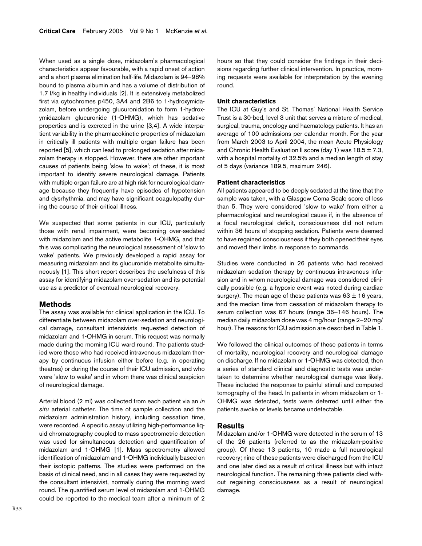When used as a single dose, midazolam's pharmacological characteristics appear favourable, with a rapid onset of action and a short plasma elimination half-life. Midazolam is 94–98% bound to plasma albumin and has a volume of distribution of 1.7 l/kg in healthy individuals [2]. It is extensively metabolized first via cytochromes p450, 3A4 and 2B6 to 1-hydroxymidazolam, before undergoing glucuronidation to form 1-hydroxymidazolam glucuronide (1-OHMG), which has sedative properties and is excreted in the urine [3,4]. A wide interpatient variability in the pharmacokinetic properties of midazolam in critically ill patients with multiple organ failure has been reported [5], which can lead to prolonged sedation after midazolam therapy is stopped. However, there are other important causes of patients being 'slow to wake'; of these, it is most important to identify severe neurological damage. Patients with multiple organ failure are at high risk for neurological damage because they frequently have episodes of hypotension and dysrhythmia, and may have significant coagulopathy during the course of their critical illness.

We suspected that some patients in our ICU, particularly those with renal impairment, were becoming over-sedated with midazolam and the active metabolite 1-OHMG, and that this was complicating the neurological assessment of 'slow to wake' patients. We previously developed a rapid assay for measuring midazolam and its glucuronide metabolite simultaneously [1]. This short report describes the usefulness of this assay for identifying midazolam over-sedation and its potential use as a predictor of eventual neurological recovery.

#### **Methods**

The assay was available for clinical application in the ICU. To differentiate between midazolam over-sedation and neurological damage, consultant intensivists requested detection of midazolam and 1-OHMG in serum. This request was normally made during the morning ICU ward round. The patients studied were those who had received intravenous midazolam therapy by continuous infusion either before (e.g. in operating theatres) or during the course of their ICU admission, and who were 'slow to wake' and in whom there was clinical suspicion of neurological damage.

Arterial blood (2 ml) was collected from each patient via an *in situ* arterial catheter. The time of sample collection and the midazolam administration history, including cessation time, were recorded. A specific assay utilizing high-performance liquid chromatography coupled to mass spectrometric detection was used for simultaneous detection and quantification of midazolam and 1-OHMG [1]. Mass spectrometry allowed identification of midazolam and 1-OHMG individually based on their isotopic patterns. The studies were performed on the basis of clinical need, and in all cases they were requested by the consultant intensivist, normally during the morning ward round. The quantified serum level of midazolam and 1-OHMG could be reported to the medical team after a minimum of 2

hours so that they could consider the findings in their decisions regarding further clinical intervention. In practice, morning requests were available for interpretation by the evening round.

#### **Unit characteristics**

The ICU at Guy's and St. Thomas' National Health Service Trust is a 30-bed, level 3 unit that serves a mixture of medical, surgical, trauma, oncology and haematology patients. It has an average of 100 admissions per calendar month. For the year from March 2003 to April 2004, the mean Acute Physiology and Chronic Health Evaluation II score (day 1) was  $18.5 \pm 7.3$ , with a hospital mortality of 32.5% and a median length of stay of 5 days (variance 189.5, maximum 246).

#### **Patient characteristics**

All patients appeared to be deeply sedated at the time that the sample was taken, with a Glasgow Coma Scale score of less than 5. They were considered 'slow to wake' from either a pharmacological and neurological cause if, in the absence of a focal neurological deficit, consciousness did not return within 36 hours of stopping sedation. Patients were deemed to have regained consciousness if they both opened their eyes and moved their limbs in response to commands.

Studies were conducted in 26 patients who had received midazolam sedation therapy by continuous intravenous infusion and in whom neurological damage was considered clinically possible (e.g. a hypoxic event was noted during cardiac surgery). The mean age of these patients was  $63 \pm 16$  years, and the median time from cessation of midazolam therapy to serum collection was 67 hours (range 36–146 hours). The median daily midazolam dose was 4 mg/hour (range 2–20 mg/ hour). The reasons for ICU admission are described in Table [1.](#page-2-0)

We followed the clinical outcomes of these patients in terms of mortality, neurological recovery and neurological damage on discharge. If no midazolam or 1-OHMG was detected, then a series of standard clinical and diagnostic tests was undertaken to determine whether neurological damage was likely. These included the response to painful stimuli and computed tomography of the head. In patients in whom midazolam or 1- OHMG was detected, tests were deferred until either the patients awoke or levels became undetectable.

### **Results**

Midazolam and/or 1-OHMG were detected in the serum of 13 of the 26 patients (referred to as the midazolam-positive group). Of these 13 patients, 10 made a full neurological recovery; nine of these patients were discharged from the ICU and one later died as a result of critical illness but with intact neurological function. The remaining three patients died without regaining consciousness as a result of neurological damage.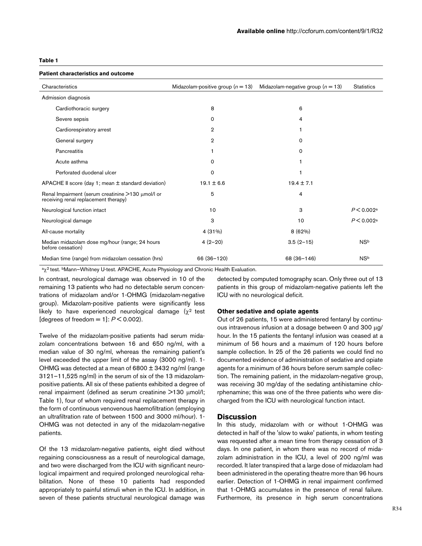### <span id="page-2-0"></span>**Table 1**

#### **Patient characteristics and outcome**

| Characteristics                                                                           | Midazolam-positive group ( $n = 13$ ) | Midazolam-negative group ( $n = 13$ ) | <b>Statistics</b>        |
|-------------------------------------------------------------------------------------------|---------------------------------------|---------------------------------------|--------------------------|
| Admission diagnosis                                                                       |                                       |                                       |                          |
| Cardiothoracic surgery                                                                    | 8                                     | 6                                     |                          |
| Severe sepsis                                                                             | 0                                     | 4                                     |                          |
| Cardiorespiratory arrest                                                                  | $\mathbf{2}$                          |                                       |                          |
| General surgery                                                                           | $\mathbf{2}$                          | 0                                     |                          |
| Pancreatitis                                                                              |                                       | 0                                     |                          |
| Acute asthma                                                                              | 0                                     |                                       |                          |
| Perforated duodenal ulcer                                                                 | $\Omega$                              |                                       |                          |
| APACHE II score (day 1; mean $\pm$ standard deviation)                                    | $19.1 \pm 6.6$                        | $19.4 \pm 7.1$                        |                          |
| Renal Impairment (serum creatinine >130 µmol/l or<br>receiving renal replacement therapy) | 5                                     | 4                                     |                          |
| Neurological function intact                                                              | 10                                    | 3                                     | P < 0.002a               |
| Neurological damage                                                                       | 3                                     | 10                                    | $P < 0.002$ <sup>a</sup> |
| All-cause mortality                                                                       | 4 (31%)                               | 8(62%)                                |                          |
| Median midazolam dose mg/hour (range; 24 hours<br>before cessation)                       | $4(2-20)$                             | $3.5(2-15)$                           | N <sub>Sb</sub>          |
| Median time (range) from midazolam cessation (hrs)                                        | 66 (36-120)                           | 68 (36-146)                           | <b>NSb</b>               |

aχ<sup>2</sup> test. bMann–Whitney U-test. APACHE, Acute Physiology and Chronic Health Evaluation.

In contrast, neurological damage was observed in 10 of the remaining 13 patients who had no detectable serum concentrations of midazolam and/or 1-OHMG (midazolam-negative group). Midazolam-positive patients were significantly less likely to have experienced neurological damage  $(\chi^2$  test [degrees of freedom  $= 1$ ]:  $P < 0.002$ ).

Twelve of the midazolam-positive patients had serum midazolam concentrations between 16 and 650 ng/ml, with a median value of 30 ng/ml, whereas the remaining patient's level exceeded the upper limit of the assay (3000 ng/ml). 1- OHMG was detected at a mean of 6800 ± 3432 ng/ml (range 3121–11,525 ng/ml) in the serum of six of the 13 midazolampositive patients. All six of these patients exhibited a degree of renal impairment (defined as serum creatinine >130 µmol/l; Table [1\)](#page-2-0), four of whom required renal replacement therapy in the form of continuous venovenous haemofiltration (employing an ultrafiltration rate of between 1500 and 3000 ml/hour). 1- OHMG was not detected in any of the midazolam-negative patients.

Of the 13 midazolam-negative patients, eight died without regaining consciousness as a result of neurological damage, and two were discharged from the ICU with significant neurological impairment and required prolonged neurological rehabilitation. None of these 10 patients had responded appropriately to painful stimuli when in the ICU. In addition, in seven of these patients structural neurological damage was

detected by computed tomography scan. Only three out of 13 patients in this group of midazolam-negative patients left the ICU with no neurological deficit.

#### **Other sedative and opiate agents**

Out of 26 patients, 15 were administered fentanyl by continuous intravenous infusion at a dosage between 0 and 300 µg/ hour. In the 15 patients the fentanyl infusion was ceased at a minimum of 56 hours and a maximum of 120 hours before sample collection. In 25 of the 26 patients we could find no documented evidence of administration of sedative and opiate agents for a minimum of 36 hours before serum sample collection. The remaining patient, in the midazolam-negative group, was receiving 30 mg/day of the sedating antihistamine chlorphenamine; this was one of the three patients who were discharged from the ICU with neurological function intact.

### **Discussion**

In this study, midazolam with or without 1-OHMG was detected in half of the 'slow to wake' patients, in whom testing was requested after a mean time from therapy cessation of 3 days. In one patient, in whom there was no record of midazolam administration in the ICU, a level of 200 ng/ml was recorded. It later transpired that a large dose of midazolam had been administered in the operating theatre more than 96 hours earlier. Detection of 1-OHMG in renal impairment confirmed that 1-OHMG accumulates in the presence of renal failure. Furthermore, its presence in high serum concentrations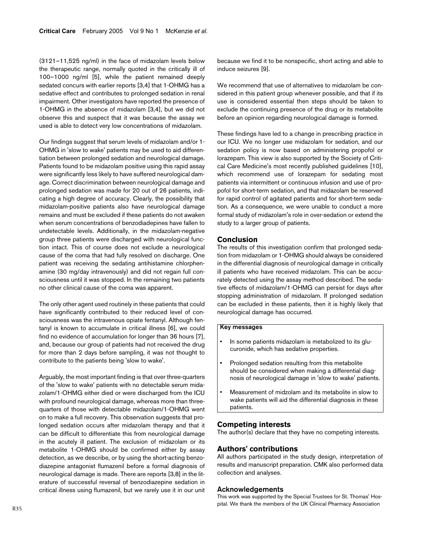(3121–11,525 ng/ml) in the face of midazolam levels below the therapeutic range, normally quoted in the critically ill of 100–1000 ng/ml [5], while the patient remained deeply sedated concurs with earlier reports [3,4] that 1-OHMG has a sedative effect and contributes to prolonged sedation in renal impairment. Other investigators have reported the presence of 1-OHMG in the absence of midazolam [3,4], but we did not observe this and suspect that it was because the assay we used is able to detect very low concentrations of midazolam.

Our findings suggest that serum levels of midazolam and/or 1- OHMG in 'slow to wake' patients may be used to aid differentiation between prolonged sedation and neurological damage. Patients found to be midazolam positive using this rapid assay were significantly less likely to have suffered neurological damage. Correct discrimination between neurological damage and prolonged sedation was made for 20 out of 26 patients, indicating a high degree of accuracy. Clearly, the possibility that midazolam-positive patients also have neurological damage remains and must be excluded if these patients do not awaken when serum concentrations of benzodiadepines have fallen to undetectable levels. Additionally, in the midazolam-negative group three patients were discharged with neurological function intact. This of course does not exclude a neurological cause of the coma that had fully resolved on discharge. One patient was receiving the sedating antihistamine chlorphenamine (30 mg/day intravenously) and did not regain full consciousness until it was stopped. In the remaining two patients no other clinical cause of the coma was apparent.

The only other agent used routinely in these patients that could have significantly contributed to their reduced level of consciousness was the intravenous opiate fentanyl. Although fentanyl is known to accumulate in critical illness [6], we could find no evidence of accumulation for longer than 36 hours [7], and, because our group of patients had not received the drug for more than 2 days before sampling, it was not thought to contribute to the patients being 'slow to wake'.

Arguably, the most important finding is that over three-quarters of the 'slow to wake' patients with no detectable serum midazolam/1-OHMG either died or were discharged from the ICU with profound neurological damage, whereas more than threequarters of those with detectable midazolam/1-OHMG went on to make a full recovery. This observation suggests that prolonged sedation occurs after midazolam therapy and that it can be difficult to differentiate this from neurological damage in the acutely ill patient. The exclusion of midazolam or its metabolite 1-OHMG should be confirmed either by assay detection, as we describe, or by using the short-acting benzodiazepine antagonist flumazenil before a formal diagnosis of neurological damage is made. There are reports [3,8] in the literature of successful reversal of benzodiazepine sedation in critical illness using flumazenil, but we rarely use it in our unit

because we find it to be nonspecific, short acting and able to induce seizures [9].

We recommend that use of alternatives to midazolam be considered in this patient group whenever possible, and that if its use is considered essential then steps should be taken to exclude the continuing presence of the drug or its metabolite before an opinion regarding neurological damage is formed.

These findings have led to a change in prescribing practice in our ICU. We no longer use midazolam for sedation, and our sedation policy is now based on administering propofol or lorazepam. This view is also supported by the Society of Critical Care Medicine's most recently published guidelines [10], which recommend use of lorazepam for sedating most patients via intermittent or continuous infusion and use of propofol for short-term sedation, and that midazolam be reserved for rapid control of agitated patients and for short-term sedation. As a consequence, we were unable to conduct a more formal study of midazolam's role in over-sedation or extend the study to a larger group of patients.

### **Conclusion**

The results of this investigation confirm that prolonged sedation from midazolam or 1-OHMG should always be considered in the differential diagnosis of neurological damage in critically ill patients who have received midazolam. This can be accurately detected using the assay method described. The sedative effects of midazolam/1-OHMG can persist for days after stopping administration of midazolam. If prolonged sedation can be excluded in these patients, then it is highly likely that neurological damage has occurred.

#### **Key messages**

- In some patients midazolam is metabolized to its glucuronide, which has sedative properties.
- Prolonged sedation resulting from this metabolite should be considered when making a differential diagnosis of neurological damage in 'slow to wake' patients.
- Measurement of midzolam and its metabolite in slow to wake patients will aid the differential diagnosis in these patients.

# **Competing interests**

The author(s) declare that they have no competing interests.

### **Authors' contributions**

All authors participated in the study design, interpretation of results and manuscript preparation. CMK also performed data collection and analyses.

#### **Acknowledgements**

This work was supported by the Special Trustees for St. Thomas' Hospital. We thank the members of the UK Clinical Pharmacy Association